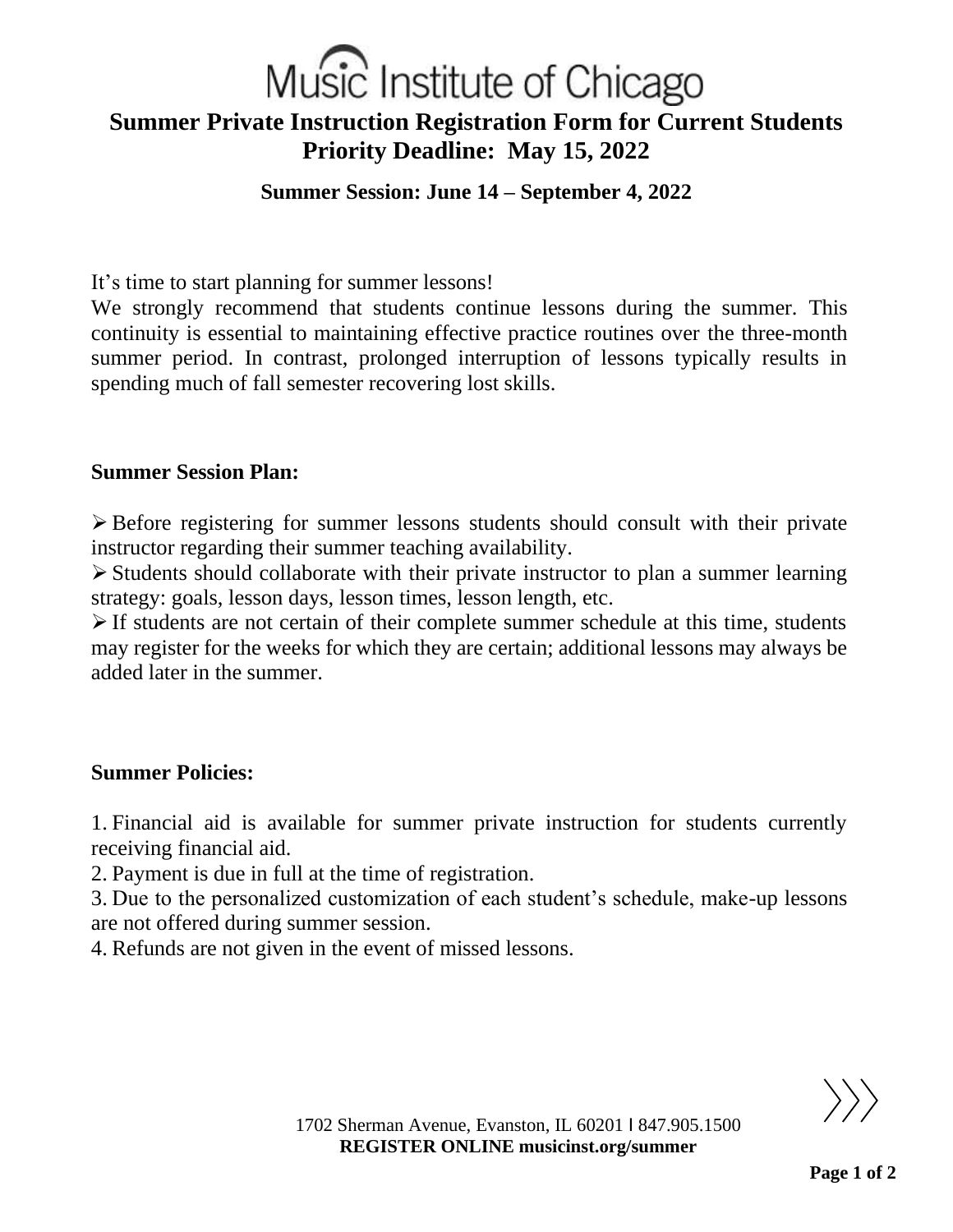# Music Institute of Chicago **Summer Private Instruction Registration Form for Current Students Priority Deadline: May 15, 2022**

# **Summer Session: June 14 – September 4, 2022**

It's time to start planning for summer lessons!

We strongly recommend that students continue lessons during the summer. This continuity is essential to maintaining effective practice routines over the three-month summer period. In contrast, prolonged interruption of lessons typically results in spending much of fall semester recovering lost skills.

### **Summer Session Plan:**

➢ Before registering for summer lessons students should consult with their private instructor regarding their summer teaching availability.

➢ Students should collaborate with their private instructor to plan a summer learning strategy: goals, lesson days, lesson times, lesson length, etc.

➢ If students are not certain of their complete summer schedule at this time, students may register for the weeks for which they are certain; additional lessons may always be added later in the summer.

# **Summer Policies:**

1. Financial aid is available for summer private instruction for students currently receiving financial aid.

2. Payment is due in full at the time of registration.

3. Due to the personalized customization of each student's schedule, make-up lessons are not offered during summer session.

4. Refunds are not given in the event of missed lessons.